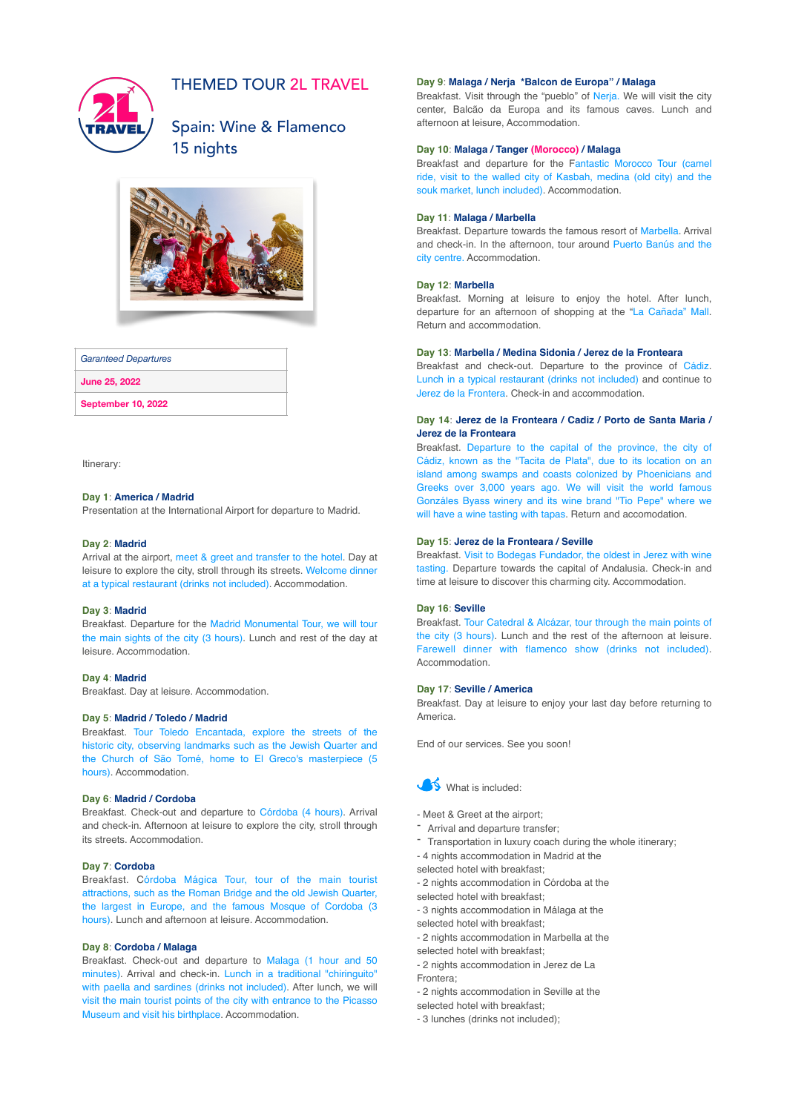

# THEMED TOUR 2L TRAVEL

# Spain: Wine & Flamenco 15 nights



### *Garanteed Departures*

**June 25, 2022**

**September 10, 2022**

Itinerary:

# **Day 1**: **America / Madrid**

Presentation at the International Airport for departure to Madrid.

#### **Day 2**: **Madrid**

Arrival at the airport, meet & greet and transfer to the hotel. Day at leisure to explore the city, stroll through its streets. Welcome dinner at a typical restaurant (drinks not included). Accommodation.

#### **Day 3**: **Madrid**

Breakfast. Departure for the Madrid Monumental Tour, we will tour the main sights of the city (3 hours). Lunch and rest of the day at leisure. Accommodation.

### **Day 4**: **Madrid**

Breakfast. Day at leisure. Accommodation.

## **Day 5**: **Madrid / Toledo / Madrid**

Breakfast. Tour Toledo Encantada, explore the streets of the historic city, observing landmarks such as the Jewish Quarter and the Church of São Tomé, home to El Greco's masterpiece (5 hours). Accommodation.

### **Day 6**: **Madrid / Cordoba**

Breakfast. Check-out and departure to Córdoba (4 hours). Arrival and check-in. Afternoon at leisure to explore the city, stroll through its streets. Accommodation.

## **Day 7**: **Cordoba**

Breakfast. Córdoba Mágica Tour, tour of the main tourist attractions, such as the Roman Bridge and the old Jewish Quarter, the largest in Europe, and the famous Mosque of Cordoba (3 hours). Lunch and afternoon at leisure. Accommodation.

# **Day 8**: **Cordoba / Malaga**

Breakfast. Check-out and departure to Malaga (1 hour and 50 minutes). Arrival and check-in. Lunch in a traditional "chiringuito" with paella and sardines (drinks not included). After lunch, we will visit the main tourist points of the city with entrance to the Picasso Museum and visit his birthplace. Accommodation.

# **Day 9**: **Malaga / Nerja \*Balcon de Europa" / Malaga**

Breakfast. Visit through the "pueblo" of Nerja. We will visit the city center, Balcão da Europa and its famous caves. Lunch and afternoon at leisure, Accommodation.

### **Day 10**: **Malaga / Tanger (Morocco) / Malaga**

Breakfast and departure for the Fantastic Morocco Tour (camel ride, visit to the walled city of Kasbah, medina (old city) and the souk market, lunch included). Accommodation.

### **Day 11**: **Malaga / Marbella**

Breakfast. Departure towards the famous resort of Marbella. Arrival and check-in. In the afternoon, tour around Puerto Banús and the city centre. Accommodation.

## **Day 12**: **Marbella**

Breakfast. Morning at leisure to enjoy the hotel. After lunch, departure for an afternoon of shopping at the "La Cañada" Mall. Return and accommodation.

## **Day 13**: **Marbella / Medina Sidonia / Jerez de la Fronteara**

Breakfast and check-out. Departure to the province of Cádiz. Lunch in a typical restaurant (drinks not included) and continue to Jerez de la Frontera. Check-in and accommodation.

## **Day 14**: **Jerez de la Fronteara / Cadiz / Porto de Santa Maria / Jerez de la Fronteara**

Breakfast. Departure to the capital of the province, the city of Cádiz, known as the "Tacita de Plata", due to its location on an island among swamps and coasts colonized by Phoenicians and Greeks over 3,000 years ago. We will visit the world famous Gonzáles Byass winery and its wine brand "Tio Pepe" where we will have a wine tasting with tapas. Return and accomodation.

#### **Day 15**: **Jerez de la Fronteara / Seville**

Breakfast. Visit to Bodegas Fundador, the oldest in Jerez with wine tasting. Departure towards the capital of Andalusia. Check-in and time at leisure to discover this charming city. Accommodation.

### **Day 16**: **Seville**

Breakfast. Tour Catedral & Alcázar, tour through the main points of the city (3 hours). Lunch and the rest of the afternoon at leisure. Farewell dinner with flamenco show (drinks not included). Accommodation.

### **Day 17**: **Seville / America**

Breakfast. Day at leisure to enjoy your last day before returning to America.

End of our services. See you soon!



- Meet & Greet at the airport;
- Arrival and departure transfer;
- Transportation in luxury coach during the whole itinerary;
- 4 nights accommodation in Madrid at the
- selected hotel with breakfast;
- 2 nights accommodation in Córdoba at the
- selected hotel with breakfast;
- 3 nights accommodation in Málaga at the
- selected hotel with breakfast;
- 2 nights accommodation in Marbella at the

selected hotel with breakfast;

- 2 nights accommodation in Jerez de La
- Frontera;
- 2 nights accommodation in Seville at the

selected hotel with breakfast;

- 3 lunches (drinks not included);